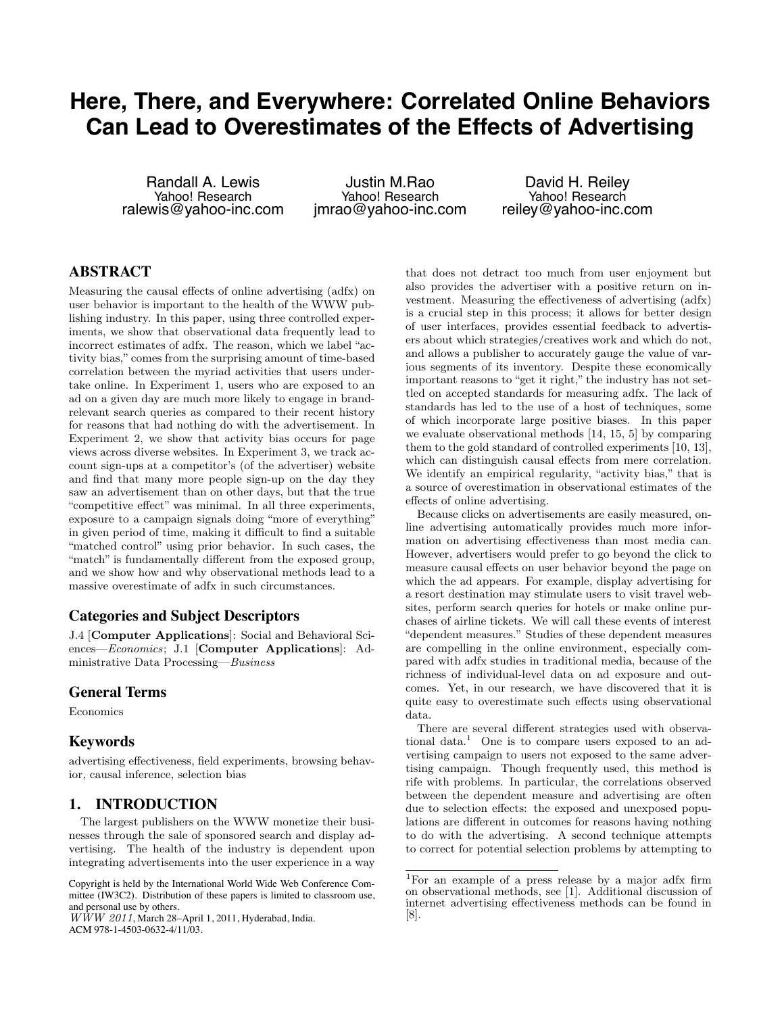# **Here, There, and Everywhere: Correlated Online Behaviors Can Lead to Overestimates of the Effects of Advertising**

Randall A. Lewis Yahoo! Research ralewis@yahoo-inc.com

Justin M.Rao Yahoo! Research jmrao@yahoo-inc.com

David H. Reiley Yahoo! Research reiley@yahoo-inc.com

# **ABSTRACT**

Measuring the causal effects of online advertising (adfx) on user behavior is important to the health of the WWW publishing industry. In this paper, using three controlled experiments, we show that observational data frequently lead to incorrect estimates of adfx. The reason, which we label "activity bias," comes from the surprising amount of time-based correlation between the myriad activities that users undertake online. In Experiment 1, users who are exposed to an ad on a given day are much more likely to engage in brandrelevant search queries as compared to their recent history for reasons that had nothing do with the advertisement. In Experiment 2, we show that activity bias occurs for page views across diverse websites. In Experiment 3, we track account sign-ups at a competitor's (of the advertiser) website and find that many more people sign-up on the day they saw an advertisement than on other days, but that the true "competitive effect" was minimal. In all three experiments, exposure to a campaign signals doing "more of everything" in given period of time, making it difficult to find a suitable "matched control" using prior behavior. In such cases, the "match" is fundamentally different from the exposed group, and we show how and why observational methods lead to a massive overestimate of adfx in such circumstances.

### **Categories and Subject Descriptors**

J.4 [Computer Applications]: Social and Behavioral Sciences—Economics; J.1 [Computer Applications]: Administrative Data Processing—Business

### **General Terms**

Economics

### **Keywords**

advertising effectiveness, field experiments, browsing behavior, causal inference, selection bias

## **1. INTRODUCTION**

The largest publishers on the WWW monetize their businesses through the sale of sponsored search and display advertising. The health of the industry is dependent upon integrating advertisements into the user experience in a way

 $WWW$  2011, March 28–April 1, 2011, Hyderabad, India. ACM 978-1-4503-0632-4/11/03.

that does not detract too much from user enjoyment but also provides the advertiser with a positive return on investment. Measuring the effectiveness of advertising (adfx) is a crucial step in this process; it allows for better design of user interfaces, provides essential feedback to advertisers about which strategies/creatives work and which do not, and allows a publisher to accurately gauge the value of various segments of its inventory. Despite these economically important reasons to "get it right," the industry has not settled on accepted standards for measuring adfx. The lack of standards has led to the use of a host of techniques, some of which incorporate large positive biases. In this paper we evaluate observational methods [14, 15, 5] by comparing them to the gold standard of controlled experiments [10, 13], which can distinguish causal effects from mere correlation. We identify an empirical regularity, "activity bias," that is a source of overestimation in observational estimates of the effects of online advertising.

Because clicks on advertisements are easily measured, online advertising automatically provides much more information on advertising effectiveness than most media can. However, advertisers would prefer to go beyond the click to measure causal effects on user behavior beyond the page on which the ad appears. For example, display advertising for a resort destination may stimulate users to visit travel websites, perform search queries for hotels or make online purchases of airline tickets. We will call these events of interest "dependent measures." Studies of these dependent measures are compelling in the online environment, especially compared with adfx studies in traditional media, because of the richness of individual-level data on ad exposure and outcomes. Yet, in our research, we have discovered that it is quite easy to overestimate such effects using observational data.

There are several different strategies used with observational data.<sup>1</sup> One is to compare users exposed to an advertising campaign to users not exposed to the same advertising campaign. Though frequently used, this method is rife with problems. In particular, the correlations observed between the dependent measure and advertising are often due to selection effects: the exposed and unexposed populations are different in outcomes for reasons having nothing to do with the advertising. A second technique attempts to correct for potential selection problems by attempting to

Copyright is held by the International World Wide Web Conference Committee (IW3C2). Distribution of these papers is limited to classroom use, and personal use by others.

<sup>1</sup>For an example of a press release by a major adfx firm on observational methods, see [1]. Additional discussion of internet advertising effectiveness methods can be found in [8].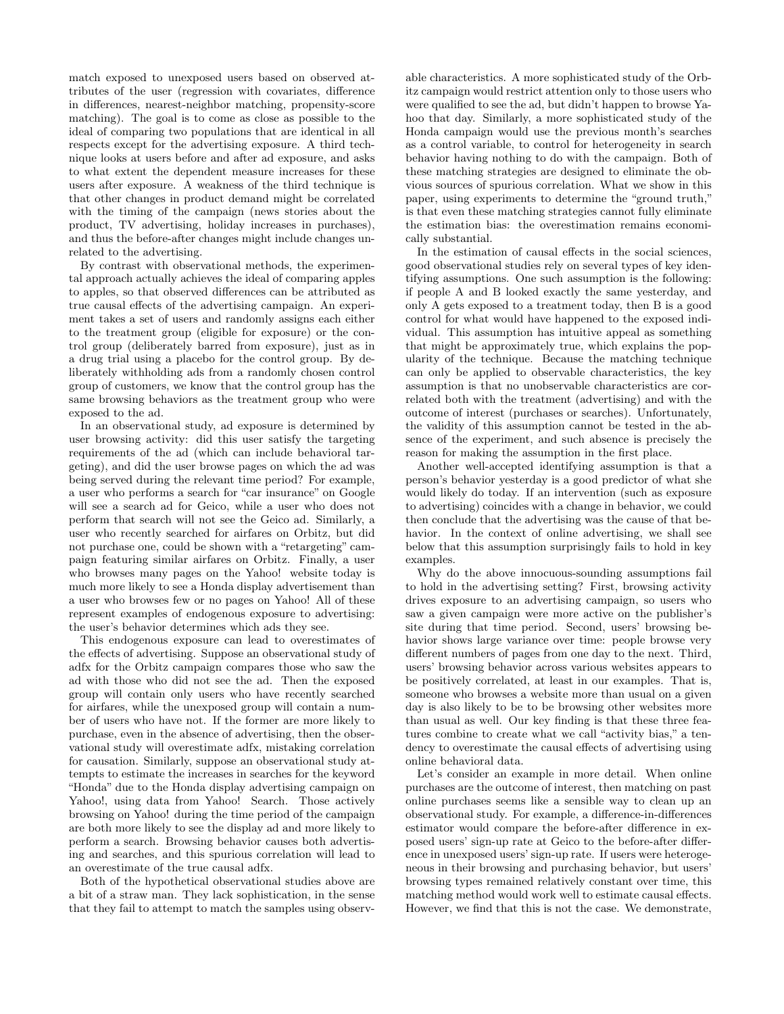match exposed to unexposed users based on observed attributes of the user (regression with covariates, difference in differences, nearest-neighbor matching, propensity-score matching). The goal is to come as close as possible to the ideal of comparing two populations that are identical in all respects except for the advertising exposure. A third technique looks at users before and after ad exposure, and asks to what extent the dependent measure increases for these users after exposure. A weakness of the third technique is that other changes in product demand might be correlated with the timing of the campaign (news stories about the product, TV advertising, holiday increases in purchases), and thus the before-after changes might include changes unrelated to the advertising.

By contrast with observational methods, the experimental approach actually achieves the ideal of comparing apples to apples, so that observed differences can be attributed as true causal effects of the advertising campaign. An experiment takes a set of users and randomly assigns each either to the treatment group (eligible for exposure) or the control group (deliberately barred from exposure), just as in a drug trial using a placebo for the control group. By deliberately withholding ads from a randomly chosen control group of customers, we know that the control group has the same browsing behaviors as the treatment group who were exposed to the ad.

In an observational study, ad exposure is determined by user browsing activity: did this user satisfy the targeting requirements of the ad (which can include behavioral targeting), and did the user browse pages on which the ad was being served during the relevant time period? For example, a user who performs a search for "car insurance" on Google will see a search ad for Geico, while a user who does not perform that search will not see the Geico ad. Similarly, a user who recently searched for airfares on Orbitz, but did not purchase one, could be shown with a "retargeting" campaign featuring similar airfares on Orbitz. Finally, a user who browses many pages on the Yahoo! website today is much more likely to see a Honda display advertisement than a user who browses few or no pages on Yahoo! All of these represent examples of endogenous exposure to advertising: the user's behavior determines which ads they see.

This endogenous exposure can lead to overestimates of the effects of advertising. Suppose an observational study of adfx for the Orbitz campaign compares those who saw the ad with those who did not see the ad. Then the exposed group will contain only users who have recently searched for airfares, while the unexposed group will contain a number of users who have not. If the former are more likely to purchase, even in the absence of advertising, then the observational study will overestimate adfx, mistaking correlation for causation. Similarly, suppose an observational study attempts to estimate the increases in searches for the keyword "Honda" due to the Honda display advertising campaign on Yahoo!, using data from Yahoo! Search. Those actively browsing on Yahoo! during the time period of the campaign are both more likely to see the display ad and more likely to perform a search. Browsing behavior causes both advertising and searches, and this spurious correlation will lead to an overestimate of the true causal adfx.

Both of the hypothetical observational studies above are a bit of a straw man. They lack sophistication, in the sense that they fail to attempt to match the samples using observable characteristics. A more sophisticated study of the Orbitz campaign would restrict attention only to those users who were qualified to see the ad, but didn't happen to browse Yahoo that day. Similarly, a more sophisticated study of the Honda campaign would use the previous month's searches as a control variable, to control for heterogeneity in search behavior having nothing to do with the campaign. Both of these matching strategies are designed to eliminate the obvious sources of spurious correlation. What we show in this paper, using experiments to determine the "ground truth," is that even these matching strategies cannot fully eliminate the estimation bias: the overestimation remains economically substantial.

In the estimation of causal effects in the social sciences, good observational studies rely on several types of key identifying assumptions. One such assumption is the following: if people A and B looked exactly the same yesterday, and only A gets exposed to a treatment today, then B is a good control for what would have happened to the exposed individual. This assumption has intuitive appeal as something that might be approximately true, which explains the popularity of the technique. Because the matching technique can only be applied to observable characteristics, the key assumption is that no unobservable characteristics are correlated both with the treatment (advertising) and with the outcome of interest (purchases or searches). Unfortunately, the validity of this assumption cannot be tested in the absence of the experiment, and such absence is precisely the reason for making the assumption in the first place.

Another well-accepted identifying assumption is that a person's behavior yesterday is a good predictor of what she would likely do today. If an intervention (such as exposure to advertising) coincides with a change in behavior, we could then conclude that the advertising was the cause of that behavior. In the context of online advertising, we shall see below that this assumption surprisingly fails to hold in key examples.

Why do the above innocuous-sounding assumptions fail to hold in the advertising setting? First, browsing activity drives exposure to an advertising campaign, so users who saw a given campaign were more active on the publisher's site during that time period. Second, users' browsing behavior shows large variance over time: people browse very different numbers of pages from one day to the next. Third, users' browsing behavior across various websites appears to be positively correlated, at least in our examples. That is, someone who browses a website more than usual on a given day is also likely to be to be browsing other websites more than usual as well. Our key finding is that these three features combine to create what we call "activity bias," a tendency to overestimate the causal effects of advertising using online behavioral data.

Let's consider an example in more detail. When online purchases are the outcome of interest, then matching on past online purchases seems like a sensible way to clean up an observational study. For example, a difference-in-differences estimator would compare the before-after difference in exposed users' sign-up rate at Geico to the before-after difference in unexposed users' sign-up rate. If users were heterogeneous in their browsing and purchasing behavior, but users' browsing types remained relatively constant over time, this matching method would work well to estimate causal effects. However, we find that this is not the case. We demonstrate,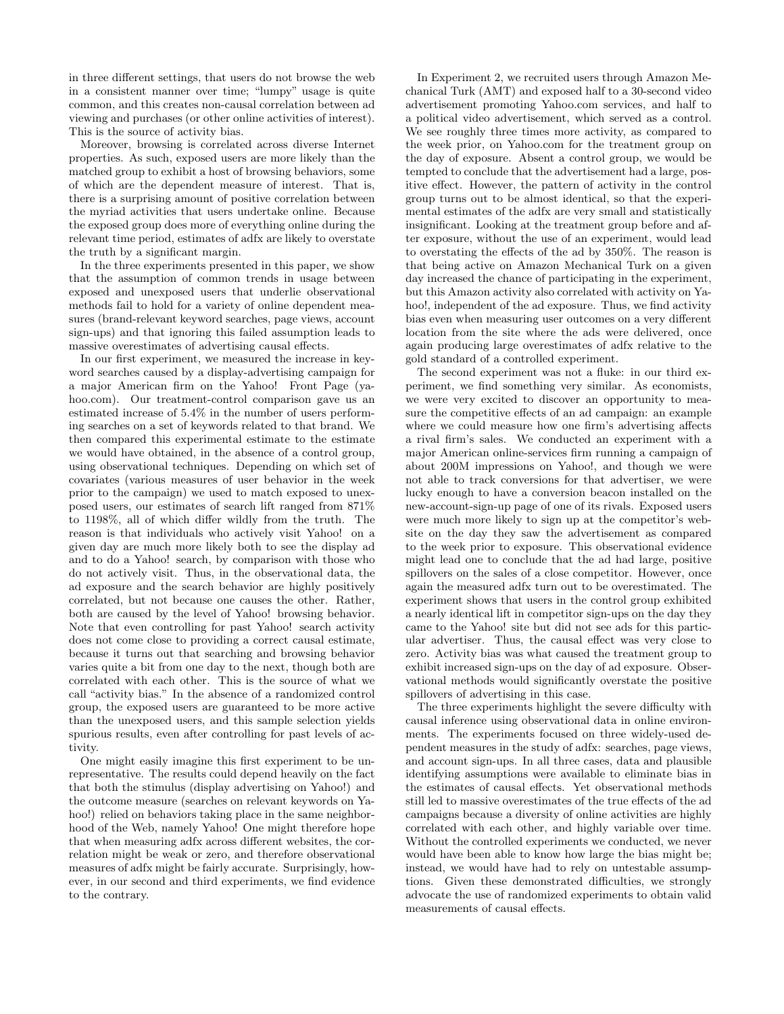in three different settings, that users do not browse the web in a consistent manner over time; "lumpy" usage is quite common, and this creates non-causal correlation between ad viewing and purchases (or other online activities of interest). This is the source of activity bias.

Moreover, browsing is correlated across diverse Internet properties. As such, exposed users are more likely than the matched group to exhibit a host of browsing behaviors, some of which are the dependent measure of interest. That is, there is a surprising amount of positive correlation between the myriad activities that users undertake online. Because the exposed group does more of everything online during the relevant time period, estimates of adfx are likely to overstate the truth by a significant margin.

In the three experiments presented in this paper, we show that the assumption of common trends in usage between exposed and unexposed users that underlie observational methods fail to hold for a variety of online dependent measures (brand-relevant keyword searches, page views, account sign-ups) and that ignoring this failed assumption leads to massive overestimates of advertising causal effects.

In our first experiment, we measured the increase in keyword searches caused by a display-advertising campaign for a major American firm on the Yahoo! Front Page (yahoo.com). Our treatment-control comparison gave us an estimated increase of 5.4% in the number of users performing searches on a set of keywords related to that brand. We then compared this experimental estimate to the estimate we would have obtained, in the absence of a control group, using observational techniques. Depending on which set of covariates (various measures of user behavior in the week prior to the campaign) we used to match exposed to unexposed users, our estimates of search lift ranged from 871% to 1198%, all of which differ wildly from the truth. The reason is that individuals who actively visit Yahoo! on a given day are much more likely both to see the display ad and to do a Yahoo! search, by comparison with those who do not actively visit. Thus, in the observational data, the ad exposure and the search behavior are highly positively correlated, but not because one causes the other. Rather, both are caused by the level of Yahoo! browsing behavior. Note that even controlling for past Yahoo! search activity does not come close to providing a correct causal estimate, because it turns out that searching and browsing behavior varies quite a bit from one day to the next, though both are correlated with each other. This is the source of what we call "activity bias." In the absence of a randomized control group, the exposed users are guaranteed to be more active than the unexposed users, and this sample selection yields spurious results, even after controlling for past levels of activity.

One might easily imagine this first experiment to be unrepresentative. The results could depend heavily on the fact that both the stimulus (display advertising on Yahoo!) and the outcome measure (searches on relevant keywords on Yahoo!) relied on behaviors taking place in the same neighborhood of the Web, namely Yahoo! One might therefore hope that when measuring adfx across different websites, the correlation might be weak or zero, and therefore observational measures of adfx might be fairly accurate. Surprisingly, however, in our second and third experiments, we find evidence to the contrary.

In Experiment 2, we recruited users through Amazon Mechanical Turk (AMT) and exposed half to a 30-second video advertisement promoting Yahoo.com services, and half to a political video advertisement, which served as a control. We see roughly three times more activity, as compared to the week prior, on Yahoo.com for the treatment group on the day of exposure. Absent a control group, we would be tempted to conclude that the advertisement had a large, positive effect. However, the pattern of activity in the control group turns out to be almost identical, so that the experimental estimates of the adfx are very small and statistically insignificant. Looking at the treatment group before and after exposure, without the use of an experiment, would lead to overstating the effects of the ad by 350%. The reason is that being active on Amazon Mechanical Turk on a given day increased the chance of participating in the experiment, but this Amazon activity also correlated with activity on Yahoo!, independent of the ad exposure. Thus, we find activity bias even when measuring user outcomes on a very different location from the site where the ads were delivered, once again producing large overestimates of adfx relative to the gold standard of a controlled experiment.

The second experiment was not a fluke: in our third experiment, we find something very similar. As economists, we were very excited to discover an opportunity to measure the competitive effects of an ad campaign: an example where we could measure how one firm's advertising affects a rival firm's sales. We conducted an experiment with a major American online-services firm running a campaign of about 200M impressions on Yahoo!, and though we were not able to track conversions for that advertiser, we were lucky enough to have a conversion beacon installed on the new-account-sign-up page of one of its rivals. Exposed users were much more likely to sign up at the competitor's website on the day they saw the advertisement as compared to the week prior to exposure. This observational evidence might lead one to conclude that the ad had large, positive spillovers on the sales of a close competitor. However, once again the measured adfx turn out to be overestimated. The experiment shows that users in the control group exhibited a nearly identical lift in competitor sign-ups on the day they came to the Yahoo! site but did not see ads for this particular advertiser. Thus, the causal effect was very close to zero. Activity bias was what caused the treatment group to exhibit increased sign-ups on the day of ad exposure. Observational methods would significantly overstate the positive spillovers of advertising in this case.

The three experiments highlight the severe difficulty with causal inference using observational data in online environments. The experiments focused on three widely-used dependent measures in the study of adfx: searches, page views, and account sign-ups. In all three cases, data and plausible identifying assumptions were available to eliminate bias in the estimates of causal effects. Yet observational methods still led to massive overestimates of the true effects of the ad campaigns because a diversity of online activities are highly correlated with each other, and highly variable over time. Without the controlled experiments we conducted, we never would have been able to know how large the bias might be; instead, we would have had to rely on untestable assumptions. Given these demonstrated difficulties, we strongly advocate the use of randomized experiments to obtain valid measurements of causal effects.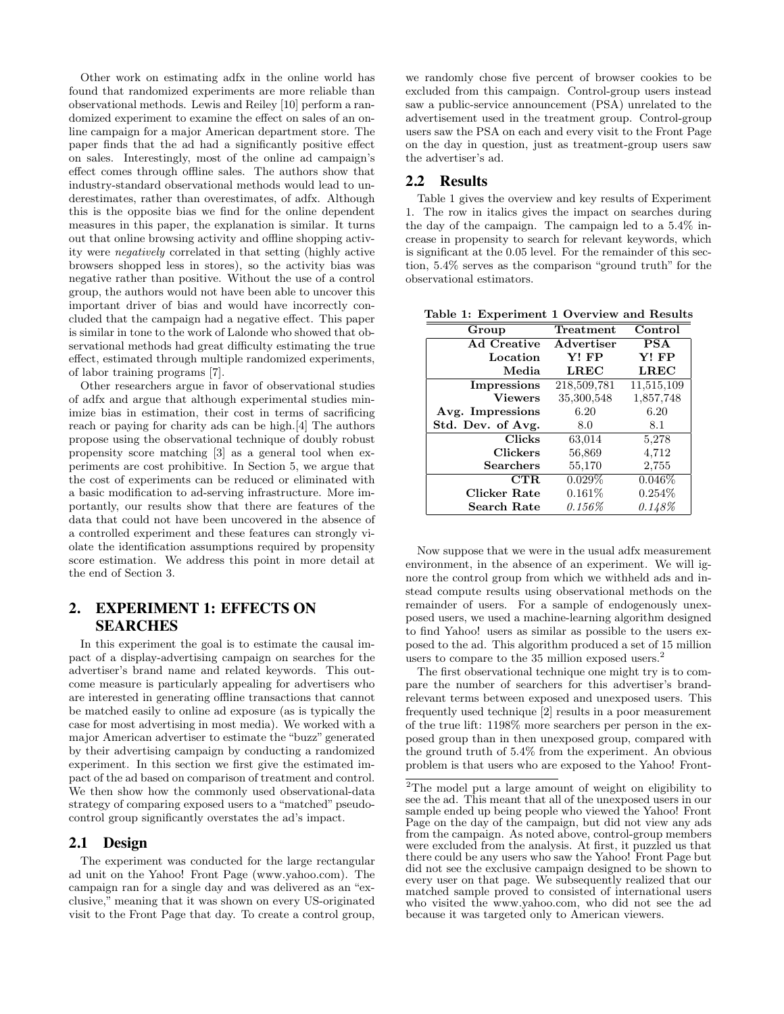Other work on estimating adfx in the online world has found that randomized experiments are more reliable than observational methods. Lewis and Reiley [10] perform a randomized experiment to examine the effect on sales of an online campaign for a major American department store. The paper finds that the ad had a significantly positive effect on sales. Interestingly, most of the online ad campaign's effect comes through offline sales. The authors show that industry-standard observational methods would lead to underestimates, rather than overestimates, of adfx. Although this is the opposite bias we find for the online dependent measures in this paper, the explanation is similar. It turns out that online browsing activity and offline shopping activity were negatively correlated in that setting (highly active browsers shopped less in stores), so the activity bias was negative rather than positive. Without the use of a control group, the authors would not have been able to uncover this important driver of bias and would have incorrectly concluded that the campaign had a negative effect. This paper is similar in tone to the work of Lalonde who showed that observational methods had great difficulty estimating the true effect, estimated through multiple randomized experiments, of labor training programs [7].

Other researchers argue in favor of observational studies of adfx and argue that although experimental studies minimize bias in estimation, their cost in terms of sacrificing reach or paying for charity ads can be high.[4] The authors propose using the observational technique of doubly robust propensity score matching [3] as a general tool when experiments are cost prohibitive. In Section 5, we argue that the cost of experiments can be reduced or eliminated with a basic modification to ad-serving infrastructure. More importantly, our results show that there are features of the data that could not have been uncovered in the absence of a controlled experiment and these features can strongly violate the identification assumptions required by propensity score estimation. We address this point in more detail at the end of Section 3.

# **2. EXPERIMENT 1: EFFECTS ON SEARCHES**

In this experiment the goal is to estimate the causal impact of a display-advertising campaign on searches for the advertiser's brand name and related keywords. This outcome measure is particularly appealing for advertisers who are interested in generating offline transactions that cannot be matched easily to online ad exposure (as is typically the case for most advertising in most media). We worked with a major American advertiser to estimate the "buzz" generated by their advertising campaign by conducting a randomized experiment. In this section we first give the estimated impact of the ad based on comparison of treatment and control. We then show how the commonly used observational-data strategy of comparing exposed users to a "matched" pseudocontrol group significantly overstates the ad's impact.

### **2.1 Design**

The experiment was conducted for the large rectangular ad unit on the Yahoo! Front Page (www.yahoo.com). The campaign ran for a single day and was delivered as an "exclusive," meaning that it was shown on every US-originated visit to the Front Page that day. To create a control group,

we randomly chose five percent of browser cookies to be excluded from this campaign. Control-group users instead saw a public-service announcement (PSA) unrelated to the advertisement used in the treatment group. Control-group users saw the PSA on each and every visit to the Front Page on the day in question, just as treatment-group users saw the advertiser's ad.

### **2.2 Results**

Table 1 gives the overview and key results of Experiment 1. The row in italics gives the impact on searches during the day of the campaign. The campaign led to a 5.4% increase in propensity to search for relevant keywords, which is significant at the 0.05 level. For the remainder of this section, 5.4% serves as the comparison "ground truth" for the observational estimators.

| Group              | Control<br>Treatment |             |  |
|--------------------|----------------------|-------------|--|
| <b>Ad Creative</b> | Advertiser           | <b>PSA</b>  |  |
| Location           | Y! FP                | $Y!$ FP     |  |
| Media              | <b>LREC</b>          | <b>LREC</b> |  |
| <b>Impressions</b> | 218,509,781          | 11,515,109  |  |
| <b>Viewers</b>     | 35,300,548           | 1,857,748   |  |
| Avg. Impressions   | 6.20                 | 6.20        |  |
| Std. Dev. of Avg.  | 8.0                  | 8.1         |  |
| <b>Clicks</b>      | 63,014               | 5,278       |  |
| <b>Clickers</b>    | 56,869               | 4,712       |  |
| Searchers          | 55,170               | 2,755       |  |
| CTR                | 0.029%               | 0.046%      |  |
| Clicker Rate       | $0.161\%$            | $0.254\%$   |  |
| Search Rate        | $0.156\%$            | $0.148\%$   |  |

Table 1: Experiment 1 Overview and Results

Now suppose that we were in the usual adfx measurement environment, in the absence of an experiment. We will ignore the control group from which we withheld ads and instead compute results using observational methods on the remainder of users. For a sample of endogenously unexposed users, we used a machine-learning algorithm designed to find Yahoo! users as similar as possible to the users exposed to the ad. This algorithm produced a set of 15 million users to compare to the 35 million exposed users.<sup>2</sup>

The first observational technique one might try is to compare the number of searchers for this advertiser's brandrelevant terms between exposed and unexposed users. This frequently used technique [2] results in a poor measurement of the true lift: 1198% more searchers per person in the exposed group than in then unexposed group, compared with the ground truth of 5.4% from the experiment. An obvious problem is that users who are exposed to the Yahoo! Front-

<sup>2</sup>The model put a large amount of weight on eligibility to see the ad. This meant that all of the unexposed users in our sample ended up being people who viewed the Yahoo! Front Page on the day of the campaign, but did not view any ads from the campaign. As noted above, control-group members were excluded from the analysis. At first, it puzzled us that there could be any users who saw the Yahoo! Front Page but did not see the exclusive campaign designed to be shown to every user on that page. We subsequently realized that our matched sample proved to consisted of international users who visited the www.yahoo.com, who did not see the ad because it was targeted only to American viewers.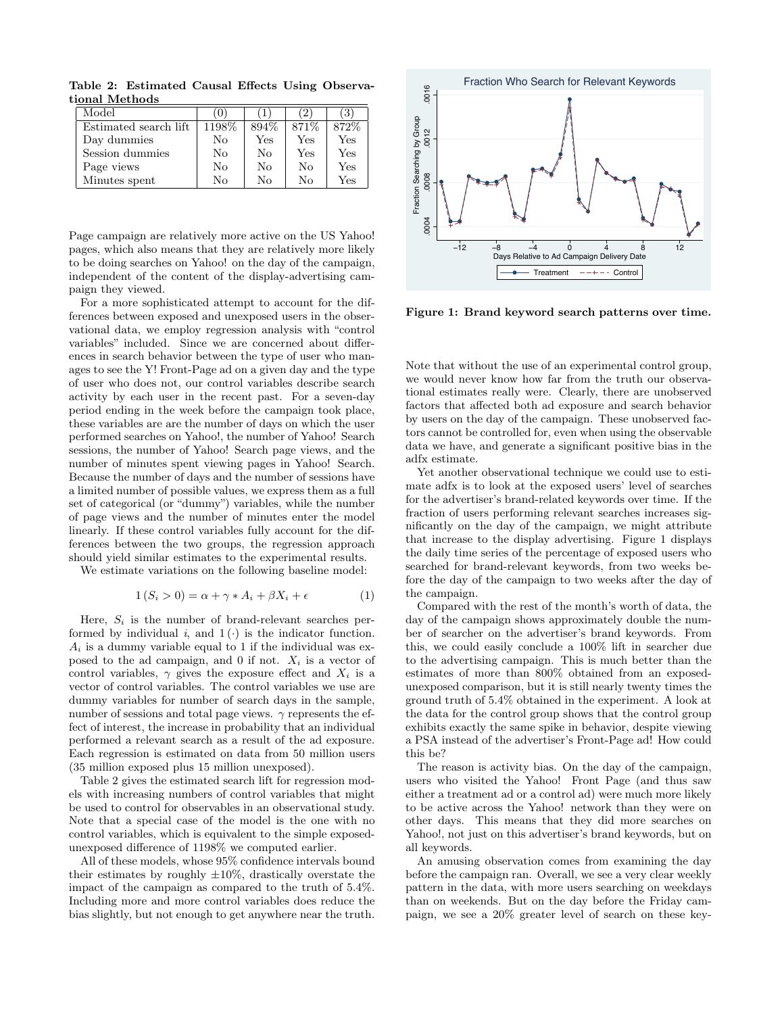Table 2: Estimated Causal Effects Using Observational Methods

| Model                 |        |       | 2     | (3    |
|-----------------------|--------|-------|-------|-------|
| Estimated search lift | 1198\% | 894\% | 871\% | 872\% |
| Day dummies           | No     | Yes   | Yes   | Yes   |
| Session dummies       | No.    | No    | Yes   | Yes   |
| Page views            | No     | No    | No    | Yes   |
| Minutes spent         | No     | Nο    | Nο    | Yes   |

Page campaign are relatively more active on the US Yahoo! pages, which also means that they are relatively more likely to be doing searches on Yahoo! on the day of the campaign, independent of the content of the display-advertising campaign they viewed.

For a more sophisticated attempt to account for the differences between exposed and unexposed users in the observational data, we employ regression analysis with "control variables" included. Since we are concerned about differences in search behavior between the type of user who manages to see the Y! Front-Page ad on a given day and the type of user who does not, our control variables describe search activity by each user in the recent past. For a seven-day period ending in the week before the campaign took place, these variables are are the number of days on which the user performed searches on Yahoo!, the number of Yahoo! Search sessions, the number of Yahoo! Search page views, and the number of minutes spent viewing pages in Yahoo! Search. Because the number of days and the number of sessions have a limited number of possible values, we express them as a full set of categorical (or "dummy") variables, while the number of page views and the number of minutes enter the model linearly. If these control variables fully account for the differences between the two groups, the regression approach should yield similar estimates to the experimental results.

We estimate variations on the following baseline model:

$$
1 (S_i > 0) = \alpha + \gamma * A_i + \beta X_i + \epsilon \tag{1}
$$

Here,  $S_i$  is the number of brand-relevant searches performed by individual i, and  $1(·)$  is the indicator function.  $A_i$  is a dummy variable equal to 1 if the individual was exposed to the ad campaign, and  $0$  if not.  $X_i$  is a vector of control variables,  $\gamma$  gives the exposure effect and  $X_i$  is a vector of control variables. The control variables we use are dummy variables for number of search days in the sample, number of sessions and total page views.  $\gamma$  represents the effect of interest, the increase in probability that an individual performed a relevant search as a result of the ad exposure. Each regression is estimated on data from 50 million users (35 million exposed plus 15 million unexposed).

Table 2 gives the estimated search lift for regression models with increasing numbers of control variables that might be used to control for observables in an observational study. Note that a special case of the model is the one with no control variables, which is equivalent to the simple exposedunexposed difference of 1198% we computed earlier.

All of these models, whose 95% confidence intervals bound their estimates by roughly  $\pm 10\%$ , drastically overstate the impact of the campaign as compared to the truth of 5.4%. Including more and more control variables does reduce the bias slightly, but not enough to get anywhere near the truth.



Figure 1: Brand keyword search patterns over time.

Note that without the use of an experimental control group, we would never know how far from the truth our observational estimates really were. Clearly, there are unobserved factors that affected both ad exposure and search behavior by users on the day of the campaign. These unobserved factors cannot be controlled for, even when using the observable data we have, and generate a significant positive bias in the adfx estimate.

Yet another observational technique we could use to estimate adfx is to look at the exposed users' level of searches for the advertiser's brand-related keywords over time. If the fraction of users performing relevant searches increases significantly on the day of the campaign, we might attribute that increase to the display advertising. Figure 1 displays the daily time series of the percentage of exposed users who searched for brand-relevant keywords, from two weeks before the day of the campaign to two weeks after the day of the campaign.

Compared with the rest of the month's worth of data, the day of the campaign shows approximately double the number of searcher on the advertiser's brand keywords. From this, we could easily conclude a 100% lift in searcher due to the advertising campaign. This is much better than the estimates of more than 800% obtained from an exposedunexposed comparison, but it is still nearly twenty times the ground truth of 5.4% obtained in the experiment. A look at the data for the control group shows that the control group exhibits exactly the same spike in behavior, despite viewing a PSA instead of the advertiser's Front-Page ad! How could this be?

The reason is activity bias. On the day of the campaign, users who visited the Yahoo! Front Page (and thus saw either a treatment ad or a control ad) were much more likely to be active across the Yahoo! network than they were on other days. This means that they did more searches on Yahoo!, not just on this advertiser's brand keywords, but on all keywords.

An amusing observation comes from examining the day before the campaign ran. Overall, we see a very clear weekly pattern in the data, with more users searching on weekdays than on weekends. But on the day before the Friday campaign, we see a 20% greater level of search on these key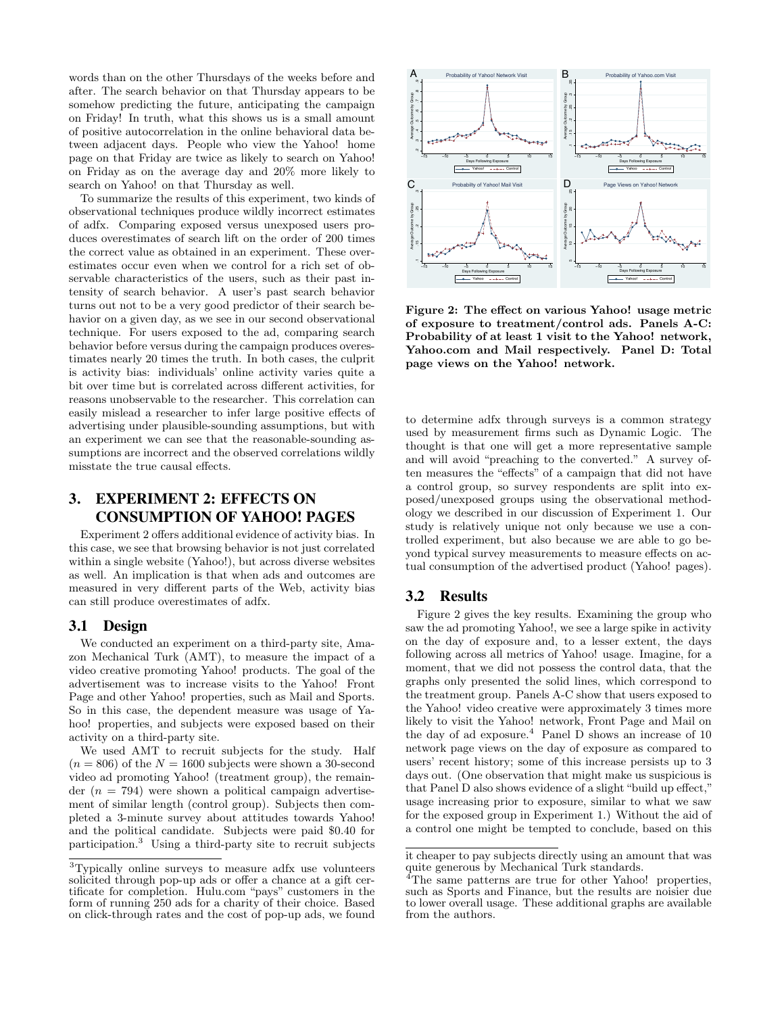words than on the other Thursdays of the weeks before and after. The search behavior on that Thursday appears to be somehow predicting the future, anticipating the campaign on Friday! In truth, what this shows us is a small amount of positive autocorrelation in the online behavioral data between adjacent days. People who view the Yahoo! home page on that Friday are twice as likely to search on Yahoo! on Friday as on the average day and 20% more likely to search on Yahoo! on that Thursday as well.

To summarize the results of this experiment, two kinds of observational techniques produce wildly incorrect estimates of adfx. Comparing exposed versus unexposed users produces overestimates of search lift on the order of 200 times the correct value as obtained in an experiment. These overestimates occur even when we control for a rich set of observable characteristics of the users, such as their past intensity of search behavior. A user's past search behavior turns out not to be a very good predictor of their search behavior on a given day, as we see in our second observational technique. For users exposed to the ad, comparing search behavior before versus during the campaign produces overestimates nearly 20 times the truth. In both cases, the culprit is activity bias: individuals' online activity varies quite a bit over time but is correlated across different activities, for reasons unobservable to the researcher. This correlation can easily mislead a researcher to infer large positive effects of advertising under plausible-sounding assumptions, but with an experiment we can see that the reasonable-sounding assumptions are incorrect and the observed correlations wildly misstate the true causal effects.

# **3. EXPERIMENT 2: EFFECTS ON CONSUMPTION OF YAHOO! PAGES**

Experiment 2 offers additional evidence of activity bias. In this case, we see that browsing behavior is not just correlated within a single website (Yahoo!), but across diverse websites as well. An implication is that when ads and outcomes are measured in very different parts of the Web, activity bias can still produce overestimates of adfx.

#### **3.1 Design**

We conducted an experiment on a third-party site, Amazon Mechanical Turk (AMT), to measure the impact of a video creative promoting Yahoo! products. The goal of the advertisement was to increase visits to the Yahoo! Front Page and other Yahoo! properties, such as Mail and Sports. So in this case, the dependent measure was usage of Yahoo! properties, and subjects were exposed based on their activity on a third-party site.

We used AMT to recruit subjects for the study. Half  $(n = 806)$  of the  $N = 1600$  subjects were shown a 30-second video ad promoting Yahoo! (treatment group), the remainder  $(n = 794)$  were shown a political campaign advertisement of similar length (control group). Subjects then completed a 3-minute survey about attitudes towards Yahoo! and the political candidate. Subjects were paid \$0.40 for participation.<sup>3</sup> Using a third-party site to recruit subjects



Figure 2: The effect on various Yahoo! usage metric of exposure to treatment/control ads. Panels A-C: Probability of at least 1 visit to the Yahoo! network, Yahoo.com and Mail respectively. Panel D: Total page views on the Yahoo! network.

to determine adfx through surveys is a common strategy used by measurement firms such as Dynamic Logic. The thought is that one will get a more representative sample and will avoid "preaching to the converted." A survey often measures the "effects" of a campaign that did not have a control group, so survey respondents are split into exposed/unexposed groups using the observational methodology we described in our discussion of Experiment 1. Our study is relatively unique not only because we use a controlled experiment, but also because we are able to go beyond typical survey measurements to measure effects on actual consumption of the advertised product (Yahoo! pages).

### **3.2 Results**

Figure 2 gives the key results. Examining the group who saw the ad promoting Yahoo!, we see a large spike in activity on the day of exposure and, to a lesser extent, the days following across all metrics of Yahoo! usage. Imagine, for a moment, that we did not possess the control data, that the graphs only presented the solid lines, which correspond to the treatment group. Panels A-C show that users exposed to the Yahoo! video creative were approximately 3 times more likely to visit the Yahoo! network, Front Page and Mail on the day of ad exposure.<sup>4</sup> Panel D shows an increase of  $10$ network page views on the day of exposure as compared to users' recent history; some of this increase persists up to 3 days out. (One observation that might make us suspicious is that Panel D also shows evidence of a slight "build up effect," usage increasing prior to exposure, similar to what we saw for the exposed group in Experiment 1.) Without the aid of a control one might be tempted to conclude, based on this

<sup>3</sup>Typically online surveys to measure adfx use volunteers solicited through pop-up ads or offer a chance at a gift certificate for completion. Hulu.com "pays" customers in the form of running 250 ads for a charity of their choice. Based on click-through rates and the cost of pop-up ads, we found

it cheaper to pay subjects directly using an amount that was quite generous by Mechanical Turk standards.

The same patterns are true for other Yahoo! properties, such as Sports and Finance, but the results are noisier due to lower overall usage. These additional graphs are available from the authors.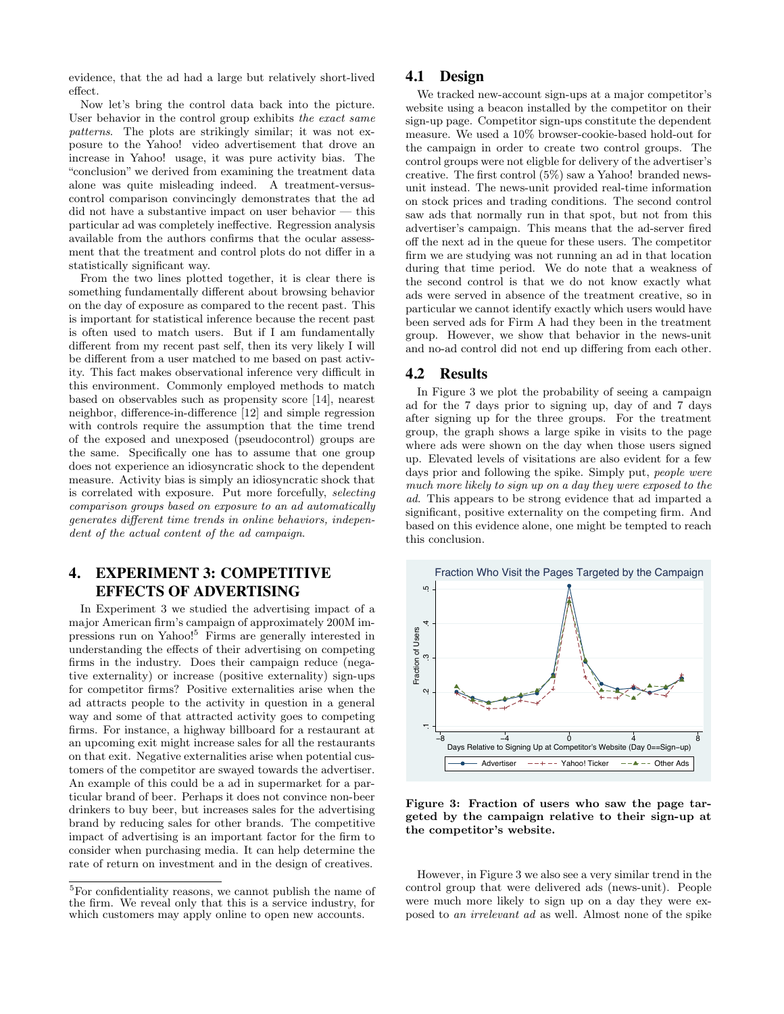evidence, that the ad had a large but relatively short-lived effect.

Now let's bring the control data back into the picture. User behavior in the control group exhibits the exact same patterns. The plots are strikingly similar; it was not exposure to the Yahoo! video advertisement that drove an increase in Yahoo! usage, it was pure activity bias. The "conclusion" we derived from examining the treatment data alone was quite misleading indeed. A treatment-versuscontrol comparison convincingly demonstrates that the ad did not have a substantive impact on user behavior — this particular ad was completely ineffective. Regression analysis available from the authors confirms that the ocular assessment that the treatment and control plots do not differ in a statistically significant way.

From the two lines plotted together, it is clear there is something fundamentally different about browsing behavior on the day of exposure as compared to the recent past. This is important for statistical inference because the recent past is often used to match users. But if I am fundamentally different from my recent past self, then its very likely I will be different from a user matched to me based on past activity. This fact makes observational inference very difficult in this environment. Commonly employed methods to match based on observables such as propensity score [14], nearest neighbor, difference-in-difference [12] and simple regression with controls require the assumption that the time trend of the exposed and unexposed (pseudocontrol) groups are the same. Specifically one has to assume that one group does not experience an idiosyncratic shock to the dependent measure. Activity bias is simply an idiosyncratic shock that is correlated with exposure. Put more forcefully, selecting comparison groups based on exposure to an ad automatically generates different time trends in online behaviors, independent of the actual content of the ad campaign.

# **4. EXPERIMENT 3: COMPETITIVE EFFECTS OF ADVERTISING**

In Experiment 3 we studied the advertising impact of a major American firm's campaign of approximately 200M impressions run on Yahoo!<sup>5</sup> Firms are generally interested in understanding the effects of their advertising on competing firms in the industry. Does their campaign reduce (negative externality) or increase (positive externality) sign-ups for competitor firms? Positive externalities arise when the ad attracts people to the activity in question in a general way and some of that attracted activity goes to competing firms. For instance, a highway billboard for a restaurant at an upcoming exit might increase sales for all the restaurants on that exit. Negative externalities arise when potential customers of the competitor are swayed towards the advertiser. An example of this could be a ad in supermarket for a particular brand of beer. Perhaps it does not convince non-beer drinkers to buy beer, but increases sales for the advertising brand by reducing sales for other brands. The competitive impact of advertising is an important factor for the firm to consider when purchasing media. It can help determine the rate of return on investment and in the design of creatives.

### **4.1 Design**

We tracked new-account sign-ups at a major competitor's website using a beacon installed by the competitor on their sign-up page. Competitor sign-ups constitute the dependent measure. We used a 10% browser-cookie-based hold-out for the campaign in order to create two control groups. The control groups were not eligble for delivery of the advertiser's creative. The first control (5%) saw a Yahoo! branded newsunit instead. The news-unit provided real-time information on stock prices and trading conditions. The second control saw ads that normally run in that spot, but not from this advertiser's campaign. This means that the ad-server fired off the next ad in the queue for these users. The competitor firm we are studying was not running an ad in that location during that time period. We do note that a weakness of the second control is that we do not know exactly what ads were served in absence of the treatment creative, so in particular we cannot identify exactly which users would have been served ads for Firm A had they been in the treatment group. However, we show that behavior in the news-unit and no-ad control did not end up differing from each other.

#### **4.2 Results**

In Figure 3 we plot the probability of seeing a campaign ad for the 7 days prior to signing up, day of and 7 days after signing up for the three groups. For the treatment group, the graph shows a large spike in visits to the page where ads were shown on the day when those users signed up. Elevated levels of visitations are also evident for a few days prior and following the spike. Simply put, people were much more likely to sign up on a day they were exposed to the ad. This appears to be strong evidence that ad imparted a significant, positive externality on the competing firm. And based on this evidence alone, one might be tempted to reach this conclusion.



Figure 3: Fraction of users who saw the page targeted by the campaign relative to their sign-up at the competitor's website.

However, in Figure 3 we also see a very similar trend in the control group that were delivered ads (news-unit). People were much more likely to sign up on a day they were exposed to an irrelevant ad as well. Almost none of the spike

<sup>5</sup>For confidentiality reasons, we cannot publish the name of the firm. We reveal only that this is a service industry, for which customers may apply online to open new accounts.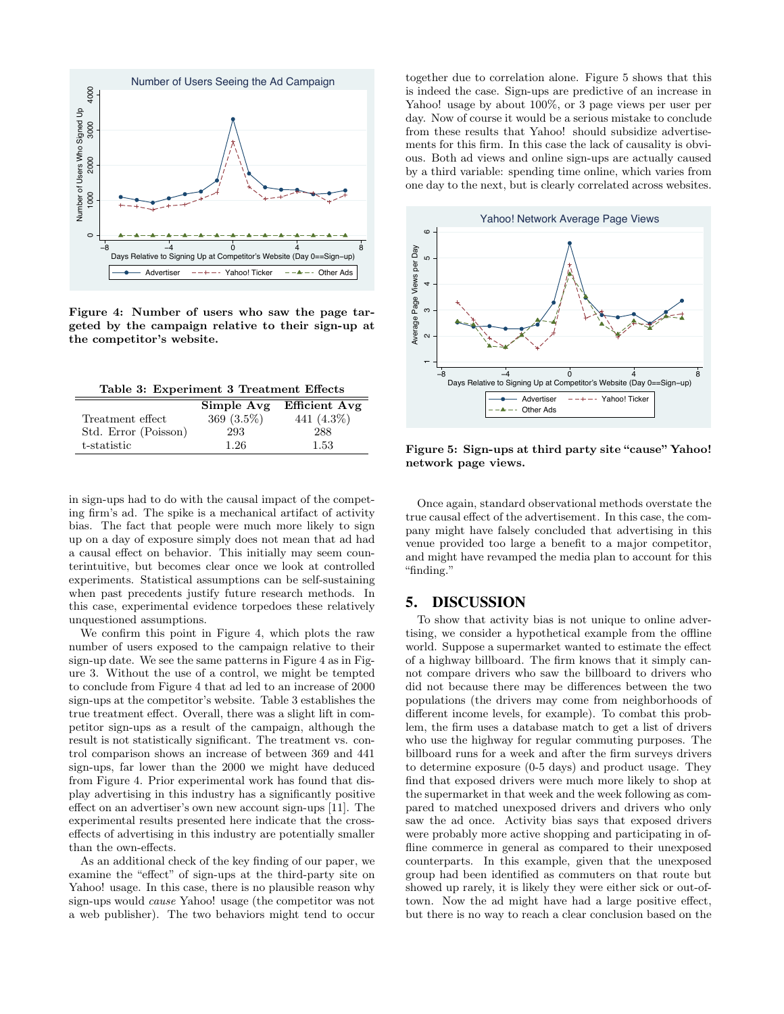

Figure 4: Number of users who saw the page targeted by the campaign relative to their sign-up at the competitor's website.

| Table 3: Experiment 3 Treatment Effects |  |
|-----------------------------------------|--|
|-----------------------------------------|--|

|                      | Simple Avg   | Efficient Avg |
|----------------------|--------------|---------------|
| Treatment effect     | $369(3.5\%)$ | 441 (4.3%)    |
| Std. Error (Poisson) | 293          | 288           |
| t-statistic          | 1.26         | 1.53          |

in sign-ups had to do with the causal impact of the competing firm's ad. The spike is a mechanical artifact of activity bias. The fact that people were much more likely to sign up on a day of exposure simply does not mean that ad had a causal effect on behavior. This initially may seem counterintuitive, but becomes clear once we look at controlled experiments. Statistical assumptions can be self-sustaining when past precedents justify future research methods. In this case, experimental evidence torpedoes these relatively unquestioned assumptions.

We confirm this point in Figure 4, which plots the raw number of users exposed to the campaign relative to their sign-up date. We see the same patterns in Figure 4 as in Figure 3. Without the use of a control, we might be tempted to conclude from Figure 4 that ad led to an increase of 2000 sign-ups at the competitor's website. Table 3 establishes the true treatment effect. Overall, there was a slight lift in competitor sign-ups as a result of the campaign, although the result is not statistically significant. The treatment vs. control comparison shows an increase of between 369 and 441 sign-ups, far lower than the 2000 we might have deduced from Figure 4. Prior experimental work has found that display advertising in this industry has a significantly positive effect on an advertiser's own new account sign-ups [11]. The experimental results presented here indicate that the crosseffects of advertising in this industry are potentially smaller than the own-effects.

As an additional check of the key finding of our paper, we examine the "effect" of sign-ups at the third-party site on Yahoo! usage. In this case, there is no plausible reason why sign-ups would cause Yahoo! usage (the competitor was not a web publisher). The two behaviors might tend to occur

together due to correlation alone. Figure 5 shows that this is indeed the case. Sign-ups are predictive of an increase in Yahoo! usage by about 100%, or 3 page views per user per day. Now of course it would be a serious mistake to conclude from these results that Yahoo! should subsidize advertisements for this firm. In this case the lack of causality is obvious. Both ad views and online sign-ups are actually caused by a third variable: spending time online, which varies from one day to the next, but is clearly correlated across websites.



Figure 5: Sign-ups at third party site "cause" Yahoo! network page views.

Once again, standard observational methods overstate the true causal effect of the advertisement. In this case, the company might have falsely concluded that advertising in this venue provided too large a benefit to a major competitor, and might have revamped the media plan to account for this "finding."

### **5. DISCUSSION**

To show that activity bias is not unique to online advertising, we consider a hypothetical example from the offline world. Suppose a supermarket wanted to estimate the effect of a highway billboard. The firm knows that it simply cannot compare drivers who saw the billboard to drivers who did not because there may be differences between the two populations (the drivers may come from neighborhoods of different income levels, for example). To combat this problem, the firm uses a database match to get a list of drivers who use the highway for regular commuting purposes. The billboard runs for a week and after the firm surveys drivers to determine exposure (0-5 days) and product usage. They find that exposed drivers were much more likely to shop at the supermarket in that week and the week following as compared to matched unexposed drivers and drivers who only saw the ad once. Activity bias says that exposed drivers were probably more active shopping and participating in offline commerce in general as compared to their unexposed counterparts. In this example, given that the unexposed group had been identified as commuters on that route but showed up rarely, it is likely they were either sick or out-oftown. Now the ad might have had a large positive effect, but there is no way to reach a clear conclusion based on the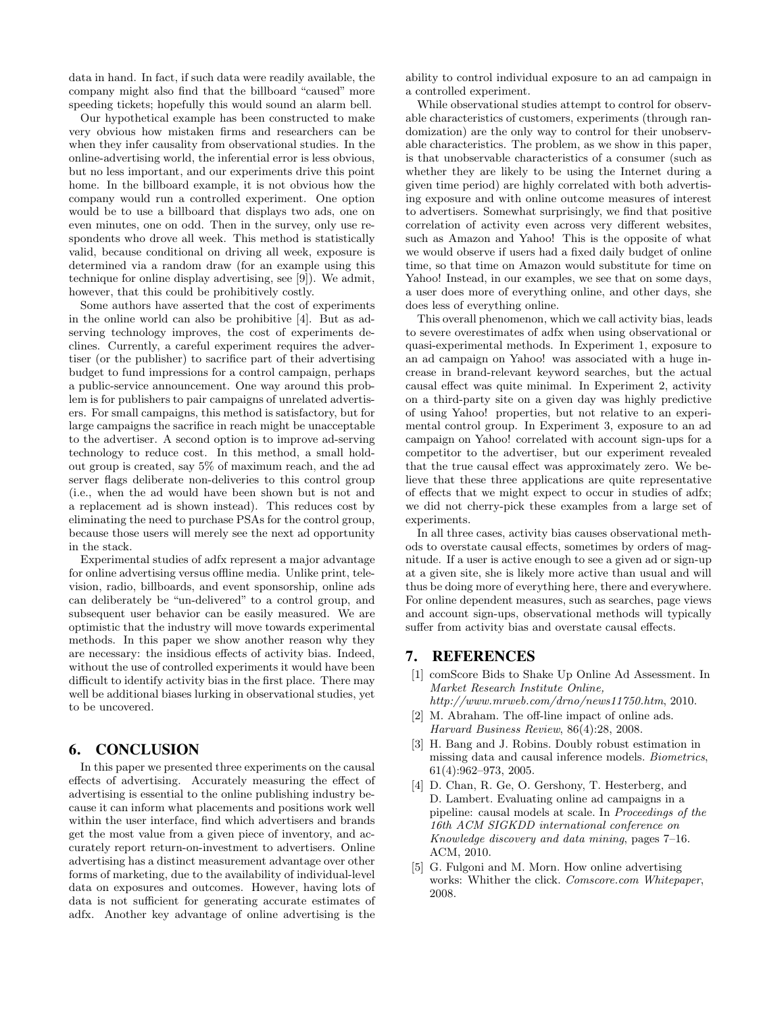data in hand. In fact, if such data were readily available, the company might also find that the billboard "caused" more speeding tickets; hopefully this would sound an alarm bell.

Our hypothetical example has been constructed to make very obvious how mistaken firms and researchers can be when they infer causality from observational studies. In the online-advertising world, the inferential error is less obvious, but no less important, and our experiments drive this point home. In the billboard example, it is not obvious how the company would run a controlled experiment. One option would be to use a billboard that displays two ads, one on even minutes, one on odd. Then in the survey, only use respondents who drove all week. This method is statistically valid, because conditional on driving all week, exposure is determined via a random draw (for an example using this technique for online display advertising, see [9]). We admit, however, that this could be prohibitively costly.

Some authors have asserted that the cost of experiments in the online world can also be prohibitive [4]. But as adserving technology improves, the cost of experiments declines. Currently, a careful experiment requires the advertiser (or the publisher) to sacrifice part of their advertising budget to fund impressions for a control campaign, perhaps a public-service announcement. One way around this problem is for publishers to pair campaigns of unrelated advertisers. For small campaigns, this method is satisfactory, but for large campaigns the sacrifice in reach might be unacceptable to the advertiser. A second option is to improve ad-serving technology to reduce cost. In this method, a small holdout group is created, say 5% of maximum reach, and the ad server flags deliberate non-deliveries to this control group (i.e., when the ad would have been shown but is not and a replacement ad is shown instead). This reduces cost by eliminating the need to purchase PSAs for the control group, because those users will merely see the next ad opportunity in the stack.

Experimental studies of adfx represent a major advantage for online advertising versus offline media. Unlike print, television, radio, billboards, and event sponsorship, online ads can deliberately be "un-delivered" to a control group, and subsequent user behavior can be easily measured. We are optimistic that the industry will move towards experimental methods. In this paper we show another reason why they are necessary: the insidious effects of activity bias. Indeed, without the use of controlled experiments it would have been difficult to identify activity bias in the first place. There may well be additional biases lurking in observational studies, yet to be uncovered.

### **6. CONCLUSION**

In this paper we presented three experiments on the causal effects of advertising. Accurately measuring the effect of advertising is essential to the online publishing industry because it can inform what placements and positions work well within the user interface, find which advertisers and brands get the most value from a given piece of inventory, and accurately report return-on-investment to advertisers. Online advertising has a distinct measurement advantage over other forms of marketing, due to the availability of individual-level data on exposures and outcomes. However, having lots of data is not sufficient for generating accurate estimates of adfx. Another key advantage of online advertising is the

ability to control individual exposure to an ad campaign in a controlled experiment.

While observational studies attempt to control for observable characteristics of customers, experiments (through randomization) are the only way to control for their unobservable characteristics. The problem, as we show in this paper, is that unobservable characteristics of a consumer (such as whether they are likely to be using the Internet during a given time period) are highly correlated with both advertising exposure and with online outcome measures of interest to advertisers. Somewhat surprisingly, we find that positive correlation of activity even across very different websites, such as Amazon and Yahoo! This is the opposite of what we would observe if users had a fixed daily budget of online time, so that time on Amazon would substitute for time on Yahoo! Instead, in our examples, we see that on some days, a user does more of everything online, and other days, she does less of everything online.

This overall phenomenon, which we call activity bias, leads to severe overestimates of adfx when using observational or quasi-experimental methods. In Experiment 1, exposure to an ad campaign on Yahoo! was associated with a huge increase in brand-relevant keyword searches, but the actual causal effect was quite minimal. In Experiment 2, activity on a third-party site on a given day was highly predictive of using Yahoo! properties, but not relative to an experimental control group. In Experiment 3, exposure to an ad campaign on Yahoo! correlated with account sign-ups for a competitor to the advertiser, but our experiment revealed that the true causal effect was approximately zero. We believe that these three applications are quite representative of effects that we might expect to occur in studies of adfx; we did not cherry-pick these examples from a large set of experiments.

In all three cases, activity bias causes observational methods to overstate causal effects, sometimes by orders of magnitude. If a user is active enough to see a given ad or sign-up at a given site, she is likely more active than usual and will thus be doing more of everything here, there and everywhere. For online dependent measures, such as searches, page views and account sign-ups, observational methods will typically suffer from activity bias and overstate causal effects.

### **7. REFERENCES**

- [1] comScore Bids to Shake Up Online Ad Assessment. In Market Research Institute Online, http://www.mrweb.com/drno/news11750.htm, 2010.
- [2] M. Abraham. The off-line impact of online ads. Harvard Business Review, 86(4):28, 2008.
- [3] H. Bang and J. Robins. Doubly robust estimation in missing data and causal inference models. Biometrics, 61(4):962–973, 2005.
- [4] D. Chan, R. Ge, O. Gershony, T. Hesterberg, and D. Lambert. Evaluating online ad campaigns in a pipeline: causal models at scale. In Proceedings of the 16th ACM SIGKDD international conference on Knowledge discovery and data mining, pages 7–16. ACM, 2010.
- [5] G. Fulgoni and M. Morn. How online advertising works: Whither the click. Comscore.com Whitepaper, 2008.